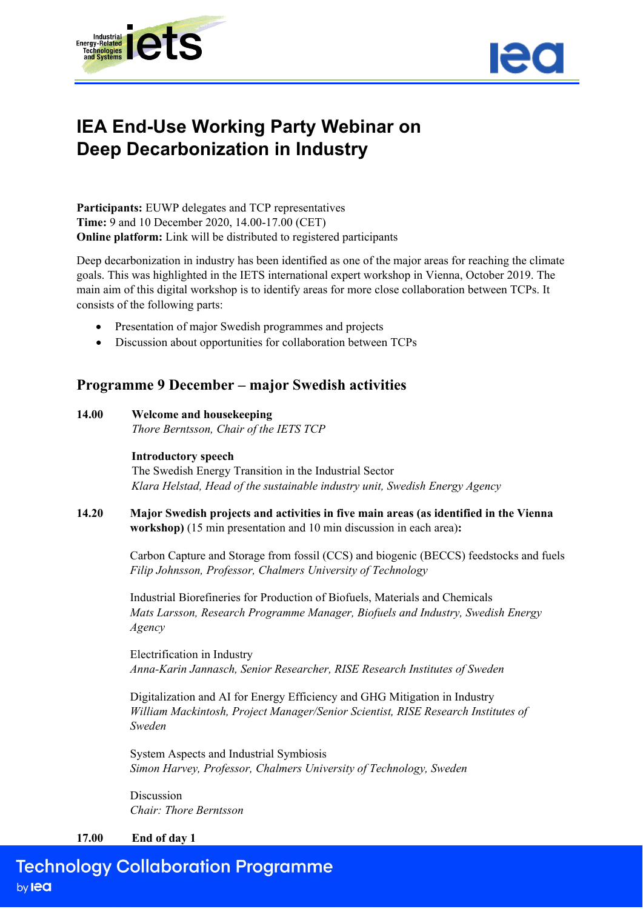



# **IEA End-Use Working Party Webinar on Deep Decarbonization in Industry**

**Participants:** EUWP delegates and TCP representatives **Time:** 9 and 10 December 2020, 14.00-17.00 (CET) **Online platform:** Link will be distributed to registered participants

Deep decarbonization in industry has been identified as one of the major areas for reaching the climate goals. This was highlighted in the IETS international expert workshop in Vienna, October 2019. The main aim of this digital workshop is to identify areas for more close collaboration between TCPs. It consists of the following parts:

- Presentation of major Swedish programmes and projects
- Discussion about opportunities for collaboration between TCPs

## **Programme 9 December – major Swedish activities**

#### **14.00 Welcome and housekeeping**

*Thore Berntsson, Chair of the IETS TCP*

#### **Introductory speech**

The Swedish Energy Transition in the Industrial Sector *Klara Helstad, Head of the sustainable industry unit, Swedish Energy Agency*

**14.20 Major Swedish projects and activities in five main areas (as identified in the Vienna workshop)** (15 min presentation and 10 min discussion in each area)**:**

> Carbon Capture and Storage from fossil (CCS) and biogenic (BECCS) feedstocks and fuels *Filip Johnsson, Professor, Chalmers University of Technology*

Industrial Biorefineries for Production of Biofuels, Materials and Chemicals *Mats Larsson, Research Programme Manager, Biofuels and Industry, Swedish Energy Agency*

Electrification in Industry *Anna-Karin Jannasch, Senior Researcher, RISE Research Institutes of Sweden*

Digitalization and AI for Energy Efficiency and GHG Mitigation in Industry *William Mackintosh, Project Manager/Senior Scientist, RISE Research Institutes of Sweden*

System Aspects and Industrial Symbiosis *Simon Harvey, Professor, Chalmers University of Technology, Sweden*

Discussion *Chair: Thore Berntsson*

#### **17.00 End of day 1**

**Technology Collaboration Programme** by lea